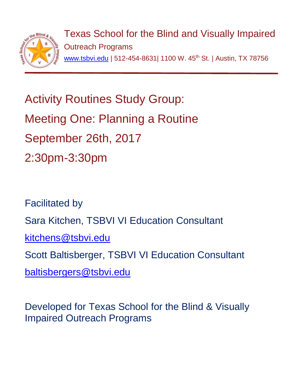

Texas School for the Blind and Visually Impaired Outreach Programs [www.tsbvi.edu](http://www.tsbvi.edu/) | 512-454-8631| 1100 W. 45<sup>th</sup> St. | Austin, TX 78756

Activity Routines Study Group: Meeting One: Planning a Routine September 26th, 2017 2:30pm-3:30pm

Facilitated by Sara Kitchen, TSBVI VI Education Consultant [kitchens@tsbvi.edu](mailto:kitchens@tsbvi.edu) Scott Baltisberger, TSBVI VI Education Consultant [baltisbergers@tsbvi.edu](mailto:baltisbergers@tsbvi.edu)

Developed for Texas School for the Blind & Visually Impaired Outreach Programs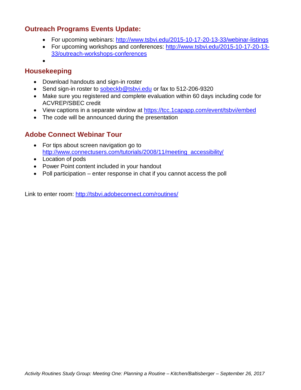## **Outreach Programs Events Update:**

- For upcoming webinars: <http://www.tsbvi.edu/2015-10-17-20-13-33/webinar-listings>
- For upcoming workshops and conferences: [http://www.tsbvi.edu/2015-10-17-20-13-](http://www.tsbvi.edu/2015-10-17-20-13-33/outreach-workshops-conferences) [33/outreach-workshops-conferences](http://www.tsbvi.edu/2015-10-17-20-13-33/outreach-workshops-conferences)
- •

## **Housekeeping**

- Download handouts and sign-in roster
- Send sign-in roster to [sobeckb@tsbvi.edu](mailto:sobeckb@tsbvi.edu) or fax to 512-206-9320
- Make sure you registered and complete evaluation within 60 days including code for ACVREP/SBEC credit
- View captions in a separate window at<https://tcc.1capapp.com/event/tsbvi/embed>
- The code will be announced during the presentation

## **Adobe Connect Webinar Tour**

- For tips about screen navigation go to [http://www.connectusers.com/tutorials/2008/11/meeting\\_accessibility/](http://www.connectusers.com/tutorials/2008/11/meeting_accessibility/)
- Location of pods
- Power Point content included in your handout
- Poll participation enter response in chat if you cannot access the poll

Link to enter room: [http://tsbvi.adobeconnect.com/routines/](http://tsbvi.adobeconnect.com/lowvision/)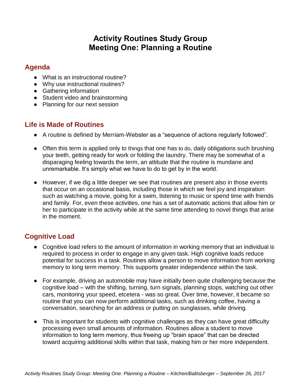# **Activity Routines Study Group Meeting One: Planning a Routine**

#### **Agenda**

- What is an instructional routine?
- Why use instructional routines?
- Gathering information
- Student video and brainstorming
- Planning for our next session

## **Life is Made of Routines**

- A routine is defined by Merriam-Webster as a "sequence of actions regularly followed".
- Often this term is applied only to things that one has to do, daily obligations such brushing your teeth, getting ready for work or folding the laundry. There may be somewhat of a disparaging feeling towards the term, an attitude that the routine is mundane and unremarkable. It's simply what we have to do to get by in the world.
- However, if we dig a little deeper we see that routines are present also in those events that occur on an occasional basis, including those in which we feel joy and inspiration such as watching a movie, going for a swim, listening to music or spend time with friends and family. For, even these activities, one has a set of automatic actions that allow him or her to participate in the activity while at the same time attending to novel things that arise in the moment.

## **Cognitive Load**

- Cognitive load refers to the amount of information in working memory that an individual is required to process in order to engage in any given task. High cognitive loads reduce potential for success in a task. Routines allow a person to move information from working memory to long term memory. This supports greater independence within the task.
- For example, driving an automobile may have initially been quite challenging because the cognitive load – with the shifting, turning, turn signals, planning stops, watching out other cars, monitoring your speed, etcetera - was so great. Over time, however, it became so routine that you can now perform additional tasks, such as drinking coffee, having a conversation, searching for an address or putting on sunglasses, while driving.
- This is important for students with cognitive challenges as they can have great difficulty processing even small amounts of information. Routines allow a student to move information to long term memory, thus freeing up "brain space" that can be directed toward acquiring additional skills within that task, making him or her more independent.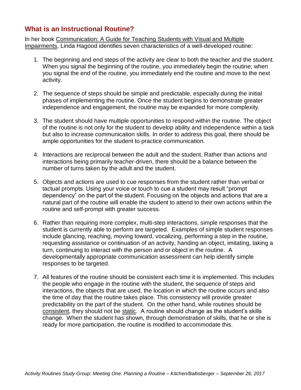## **What is an Instructional Routine?**

In her book Communication: A Guide for Teaching Students with Visual and Multiple Impairments, Linda Hagood identifies seven characteristics of a well-developed routine:

- 1. The beginning and end steps of the activity are clear to both the teacher and the student. When you signal the beginning of the routine, you immediately begin the routine; when you signal the end of the routine, you immediately end the routine and move to the next activity.
- 2. The sequence of steps should be simple and predictable, especially during the initial phases of implementing the routine. Once the student begins to demonstrate greater independence and engagement, the routine may be expanded for more complexity.
- 3. The student should have multiple opportunities to respond within the routine. The object of the routine is not only for the student to develop ability and independence within a task but also to increase communication skills. In order to address this goal, there should be ample opportunities for the student to practice communication.
- 4. Interactions are reciprocal between the adult and the student. Rather than actions and interactions being primarily teacher-driven, there should be a balance between the number of turns taken by the adult and the student.
- 5. Objects and actions are used to cue responses from the student rather than verbal or tactual prompts. Using your voice or touch to cue a student may result "prompt dependency" on the part of the student. Focusing on the objects and actions that are a natural part of the routine will enable the student to attend to their own actions within the routine and self-prompt with greater success.
- 6. Rather than requiring more complex, multi-step interactions, simple responses that the student is currently able to perform are targeted. Examples of simple student responses include glancing, reaching, moving toward, vocalizing, performing a step in the routine, requesting assistance or continuation of an activity, handing an object, imitating, taking a turn, continuing to interact with the person and or object in the routine. A developmentally appropriate communication assessment can help identify simple responses to be targeted.
- 7. All features of the routine should be consistent each time it is implemented. This includes the people who engage in the routine with the student, the sequence of steps and interactions, the objects that are used, the location in which the routine occurs and also the time of day that the routine takes place. This consistency will provide greater predictability on the part of the student. On the other hand, while routines should be consistent, they should not be static. A routine should change as the student's skills change. When the student has shown, through demonstration of skills, that he or she is ready for more participation, the routine is modified to accommodate this.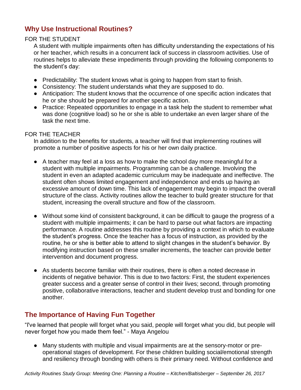## **Why Use Instructional Routines?**

#### FOR THE STUDENT

A student with multiple impairments often has difficulty understanding the expectations of his or her teacher, which results in a concurrent lack of success in classroom activities. Use of routines helps to alleviate these impediments through providing the following components to the student's day:

- Predictability: The student knows what is going to happen from start to finish.
- Consistency: The student understands what they are supposed to do.
- Anticipation: The student knows that the occurrence of one specific action indicates that he or she should be prepared for another specific action.
- Practice: Repeated opportunities to engage in a task help the student to remember what was done (cognitive load) so he or she is able to undertake an even larger share of the task the next time.

#### FOR THE TEACHER

In addition to the benefits for students, a teacher will find that implementing routines will promote a number of positive aspects for his or her own daily practice.

- A teacher may feel at a loss as how to make the school day more meaningful for a student with multiple impairments. Programming can be a challenge. Involving the student in even an adapted academic curriculum may be inadequate and ineffective. The student often shows limited engagement and independence and ends up having an excessive amount of down time. This lack of engagement may begin to impact the overall structure of the class. Activity routines allow the teacher to build greater structure for that student, increasing the overall structure and flow of the classroom.
- Without some kind of consistent background, it can be difficult to gauge the progress of a student with multiple impairments; it can be hard to parse out what factors are impacting performance. A routine addresses this routine by providing a context in which to evaluate the student's progress. Once the teacher has a focus of instruction, as provided by the routine, he or she is better able to attend to slight changes in the student's behavior. By modifying instruction based on these smaller increments, the teacher can provide better intervention and document progress.
- As students become familiar with their routines, there is often a noted decrease in incidents of negative behavior. This is due to two factors: First, the student experiences greater success and a greater sense of control in their lives; second, through promoting positive, collaborative interactions, teacher and student develop trust and bonding for one another.

## **The Importance of Having Fun Together**

"I've learned that people will forget what you said, people will forget what you did, but people will never forget how you made them feel." - Maya Angelou

● Many students with multiple and visual impairments are at the sensory-motor or preoperational stages of development. For these children building social/emotional strength and resiliency through bonding with others is their primary need. Without confidence and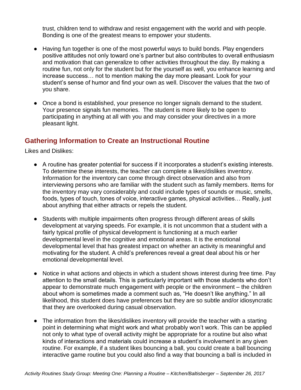trust, children tend to withdraw and resist engagement with the world and with people. Bonding is one of the greatest means to empower your students.

- Having fun together is one of the most powerful ways to build bonds. Play engenders positive attitudes not only toward one's partner but also contributes to overall enthusiasm and motivation that can generalize to other activities throughout the day. By making a routine fun, not only for the student but for the yourself as well, you enhance learning and increase success… not to mention making the day more pleasant. Look for your student's sense of humor and find your own as well. Discover the values that the two of you share.
- Once a bond is established, your presence no longer signals demand to the student. Your presence signals fun memories. The student is more likely to be open to participating in anything at all with you and may consider your directives in a more pleasant light.

## **Gathering Information to Create an Instructional Routine**

Likes and Dislikes:

- A routine has greater potential for success if it incorporates a student's existing interests. To determine these interests, the teacher can complete a likes/dislikes inventory. Information for the inventory can come through direct observation and also from interviewing persons who are familiar with the student such as family members. Items for the inventory may vary considerably and could include types of sounds or music, smells, foods, types of touch, tones of voice, interactive games, physical activities… Really, just about anything that either attracts or repels the student.
- Students with multiple impairments often progress through different areas of skills development at varying speeds. For example, it is not uncommon that a student with a fairly typical profile of physical development is functioning at a much earlier developmental level in the cognitive and emotional areas. It is the emotional developmental level that has greatest impact on whether an activity is meaningful and motivating for the student. A child's preferences reveal a great deal about his or her emotional developmental level.
- Notice in what actions and objects in which a student shows interest during free time. Pay attention to the small details. This is particularly important with those students who don't appear to demonstrate much engagement with people or the environment – the children about whom is sometimes made a comment such as, "He doesn't like anything." In all likelihood, this student does have preferences but they are so subtle and/or idiosyncratic that they are overlooked during casual observation.
- The information from the likes/dislikes inventory will provide the teacher with a starting point in determining what might work and what probably won't work. This can be applied not only to what type of overall activity might be appropriate for a routine but also what kinds of interactions and materials could increase a student's involvement in any given routine. For example, if a student likes bouncing a ball, you could create a ball bouncing interactive game routine but you could also find a way that bouncing a ball is included in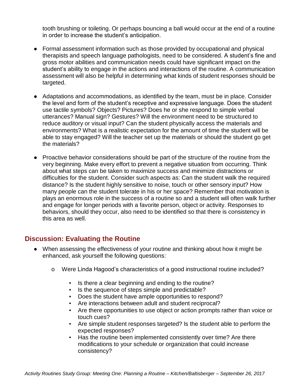tooth brushing or toileting. Or perhaps bouncing a ball would occur at the end of a routine in order to increase the student's anticipation.

- Formal assessment information such as those provided by occupational and physical therapists and speech language pathologists, need to be considered. A student's fine and gross motor abilities and communication needs could have significant impact on the student's ability to engage in the actions and interactions of the routine. A communication assessment will also be helpful in determining what kinds of student responses should be targeted.
- Adaptations and accommodations, as identified by the team, must be in place. Consider the level and form of the student's receptive and expressive language. Does the student use tactile symbols? Objects? Pictures? Does he or she respond to simple verbal utterances? Manual sign? Gestures? Will the environment need to be structured to reduce auditory or visual input? Can the student physically access the materials and environments? What is a realistic expectation for the amount of time the student will be able to stay engaged? Will the teacher set up the materials or should the student go get the materials?
- Proactive behavior considerations should be part of the structure of the routine from the very beginning. Make every effort to prevent a negative situation from occurring. Think about what steps can be taken to maximize success and minimize distractions or difficulties for the student. Consider such aspects as: Can the student walk the required distance? Is the student highly sensitive to noise, touch or other sensory input? How many people can the student tolerate in his or her space? Remember that motivation is plays an enormous role in the success of a routine so and a student will often walk further and engage for longer periods with a favorite person, object or activity. Responses to behaviors, should they occur, also need to be identified so that there is consistency in this area as well.

## **Discussion: Evaluating the Routine**

- When assessing the effectiveness of your routine and thinking about how it might be enhanced, ask yourself the following questions:
	- o Were Linda Hagood's characteristics of a good instructional routine included?
		- Is there a clear beginning and ending to the routine?
		- Is the sequence of steps simple and predictable?
		- Does the student have ample opportunities to respond?
		- Are interactions between adult and student reciprocal?
		- Are there opportunities to use object or action prompts rather than voice or touch cues?
		- Are simple student responses targeted? Is the student able to perform the expected responses?
		- **EXECT** Has the routine been implemented consistently over time? Are there modifications to your schedule or organization that could increase consistency?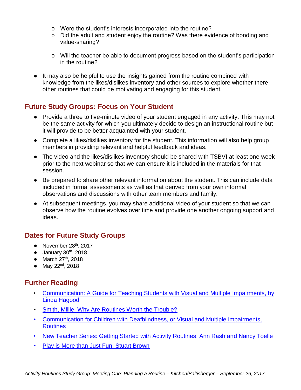- o Were the student's interests incorporated into the routine?
- o Did the adult and student enjoy the routine? Was there evidence of bonding and value-sharing?
- o Will the teacher be able to document progress based on the student's participation in the routine?
- It may also be helpful to use the insights gained from the routine combined with knowledge from the likes/dislikes inventory and other sources to explore whether there other routines that could be motivating and engaging for this student.

## **Future Study Groups: Focus on Your Student**

- Provide a three to five-minute video of your student engaged in any activity. This may not be the same activity for which you ultimately decide to design an instructional routine but it will provide to be better acquainted with your student.
- Complete a likes/dislikes inventory for the student. This information will also help group members in providing relevant and helpful feedback and ideas.
- The video and the likes/dislikes inventory should be shared with TSBVI at least one week prior to the next webinar so that we can ensure it is included in the materials for that session.
- Be prepared to share other relevant information about the student. This can include data included in formal assessments as well as that derived from your own informal observations and discussions with other team members and family.
- At subsequent meetings, you may share additional video of your student so that we can observe how the routine evolves over time and provide one another ongoing support and ideas.

## **Dates for Future Study Groups**

- November  $28<sup>th</sup>$ , 2017
- $\bullet$  January 30<sup>th</sup>, 2018
- $\bullet$  March 27<sup>th</sup>, 2018
- May 22 $^{nd}$ , 2018

## **Further Reading**

- [Communication: A Guide for Teaching Students with Visual and Multiple Impairments, by](http://www.tsbvi.edu/publications/1026-communication-a-guide-for-teaching-students-with-visual-and-multiple-impairments)  [Linda Hagood](http://www.tsbvi.edu/publications/1026-communication-a-guide-for-teaching-students-with-visual-and-multiple-impairments)
- [Smith, Millie, Why Are Routines Worth the Trouble?](http://www.tsbvi.edu/203-resources/1723-why-are-routines-worth-the-trouble)
- Communication for Children [with Deafblindness, or Visual and Multiple Impairments,](http://www.tsbvi.edu/distance/communication/routines/introduction/index.html)  **[Routines](http://www.tsbvi.edu/distance/communication/routines/introduction/index.html)**
- [New Teacher Series: Getting Started with Activity Routines, Ann Rash and Nancy Toelle](http://www.tsbvi.edu/deaf-blind-project/1892-new-teacher-series-getting-started-with-activity-routines)
- [Play is More than Just Fun, Stuart Brown](https://www.ted.com/talks/stuart_brown_says_play_is_more_than_fun_it_s_vital)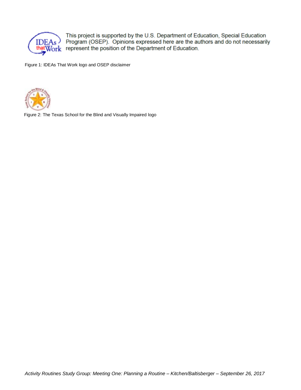

This project is supported by the U.S. Department of Education, Special Education Program (OSEP). Opinions expressed here are the authors and do not necessarily that Work represent the position of the Department of Education.

Figure 1: IDEAs That Work logo and OSEP disclaimer



Figure 2: The Texas School for the Blind and Visually Impaired logo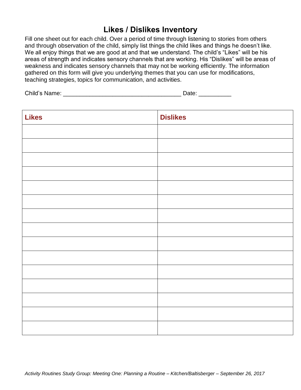## **Likes / Dislikes Inventory**

Fill one sheet out for each child. Over a period of time through listening to stories from others and through observation of the child, simply list things the child likes and things he doesn't like. We all enjoy things that we are good at and that we understand. The child's "Likes" will be his areas of strength and indicates sensory channels that are working. His "Dislikes" will be areas of weakness and indicates sensory channels that may not be working efficiently. The information gathered on this form will give you underlying themes that you can use for modifications, teaching strategies, topics for communication, and activities.

Child's Name: \_\_\_\_\_\_\_\_\_\_\_\_\_\_\_\_\_\_\_\_\_\_\_\_\_\_\_\_\_\_\_\_\_\_\_\_ Date: \_\_\_\_\_\_\_\_\_\_

| <b>Likes</b> | <b>Dislikes</b> |
|--------------|-----------------|
|              |                 |
|              |                 |
|              |                 |
|              |                 |
|              |                 |
|              |                 |
|              |                 |
|              |                 |
|              |                 |
|              |                 |
|              |                 |
|              |                 |
|              |                 |
|              |                 |
|              |                 |